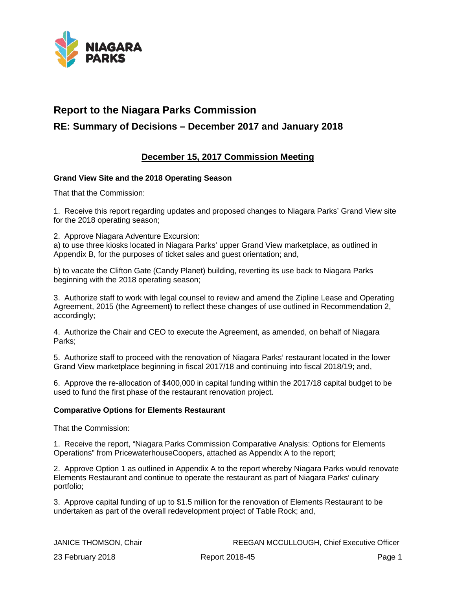

# **Report to the Niagara Parks Commission**

# **RE: Summary of Decisions – December 2017 and January 2018**

## **December 15, 2017 Commission Meeting**

## **Grand View Site and the 2018 Operating Season**

That that the Commission:

1. Receive this report regarding updates and proposed changes to Niagara Parks' Grand View site for the 2018 operating season;

2. Approve Niagara Adventure Excursion:

a) to use three kiosks located in Niagara Parks' upper Grand View marketplace, as outlined in Appendix B, for the purposes of ticket sales and guest orientation; and,

b) to vacate the Clifton Gate (Candy Planet) building, reverting its use back to Niagara Parks beginning with the 2018 operating season;

3. Authorize staff to work with legal counsel to review and amend the Zipline Lease and Operating Agreement, 2015 (the Agreement) to reflect these changes of use outlined in Recommendation 2, accordingly;

4. Authorize the Chair and CEO to execute the Agreement, as amended, on behalf of Niagara Parks;

5. Authorize staff to proceed with the renovation of Niagara Parks' restaurant located in the lower Grand View marketplace beginning in fiscal 2017/18 and continuing into fiscal 2018/19; and,

6. Approve the re-allocation of \$400,000 in capital funding within the 2017/18 capital budget to be used to fund the first phase of the restaurant renovation project.

## **Comparative Options for Elements Restaurant**

That the Commission:

1. Receive the report, "Niagara Parks Commission Comparative Analysis: Options for Elements Operations" from PricewaterhouseCoopers, attached as Appendix A to the report;

2. Approve Option 1 as outlined in Appendix A to the report whereby Niagara Parks would renovate Elements Restaurant and continue to operate the restaurant as part of Niagara Parks' culinary portfolio;

3. Approve capital funding of up to \$1.5 million for the renovation of Elements Restaurant to be undertaken as part of the overall redevelopment project of Table Rock; and,

JANICE THOMSON, Chair REEGAN MCCULLOUGH, Chief Executive Officer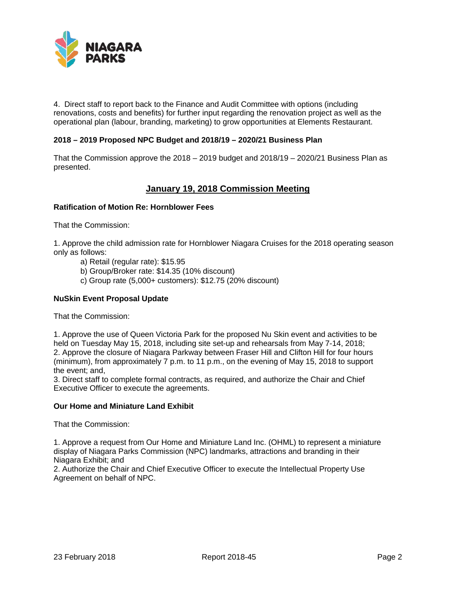

4. Direct staff to report back to the Finance and Audit Committee with options (including renovations, costs and benefits) for further input regarding the renovation project as well as the operational plan (labour, branding, marketing) to grow opportunities at Elements Restaurant.

## **2018 – 2019 Proposed NPC Budget and 2018/19 – 2020/21 Business Plan**

That the Commission approve the 2018 – 2019 budget and 2018/19 – 2020/21 Business Plan as presented.

## **January 19, 2018 Commission Meeting**

## **Ratification of Motion Re: Hornblower Fees**

That the Commission:

1. Approve the child admission rate for Hornblower Niagara Cruises for the 2018 operating season only as follows:

- a) Retail (regular rate): \$15.95
- b) Group/Broker rate: \$14.35 (10% discount)
- c) Group rate (5,000+ customers): \$12.75 (20% discount)

## **NuSkin Event Proposal Update**

That the Commission:

1. Approve the use of Queen Victoria Park for the proposed Nu Skin event and activities to be held on Tuesday May 15, 2018, including site set-up and rehearsals from May 7-14, 2018; 2. Approve the closure of Niagara Parkway between Fraser Hill and Clifton Hill for four hours (minimum), from approximately 7 p.m. to 11 p.m., on the evening of May 15, 2018 to support the event; and,

3. Direct staff to complete formal contracts, as required, and authorize the Chair and Chief Executive Officer to execute the agreements.

## **Our Home and Miniature Land Exhibit**

That the Commission:

1. Approve a request from Our Home and Miniature Land Inc. (OHML) to represent a miniature display of Niagara Parks Commission (NPC) landmarks, attractions and branding in their Niagara Exhibit; and

2. Authorize the Chair and Chief Executive Officer to execute the Intellectual Property Use Agreement on behalf of NPC.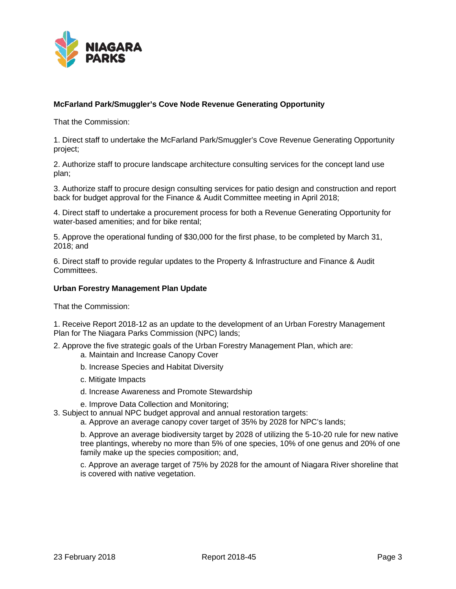

## **McFarland Park/Smuggler's Cove Node Revenue Generating Opportunity**

That the Commission:

1. Direct staff to undertake the McFarland Park/Smuggler's Cove Revenue Generating Opportunity project;

2. Authorize staff to procure landscape architecture consulting services for the concept land use plan;

3. Authorize staff to procure design consulting services for patio design and construction and report back for budget approval for the Finance & Audit Committee meeting in April 2018;

4. Direct staff to undertake a procurement process for both a Revenue Generating Opportunity for water-based amenities; and for bike rental;

5. Approve the operational funding of \$30,000 for the first phase, to be completed by March 31, 2018; and

6. Direct staff to provide regular updates to the Property & Infrastructure and Finance & Audit Committees.

## **Urban Forestry Management Plan Update**

That the Commission:

1. Receive Report 2018-12 as an update to the development of an Urban Forestry Management Plan for The Niagara Parks Commission (NPC) lands;

2. Approve the five strategic goals of the Urban Forestry Management Plan, which are:

- a. Maintain and Increase Canopy Cover
- b. Increase Species and Habitat Diversity
- c. Mitigate Impacts
- d. Increase Awareness and Promote Stewardship
- e. Improve Data Collection and Monitoring;

3. Subject to annual NPC budget approval and annual restoration targets:

a. Approve an average canopy cover target of 35% by 2028 for NPC's lands;

b. Approve an average biodiversity target by 2028 of utilizing the 5-10-20 rule for new native tree plantings, whereby no more than 5% of one species, 10% of one genus and 20% of one family make up the species composition; and,

c. Approve an average target of 75% by 2028 for the amount of Niagara River shoreline that is covered with native vegetation.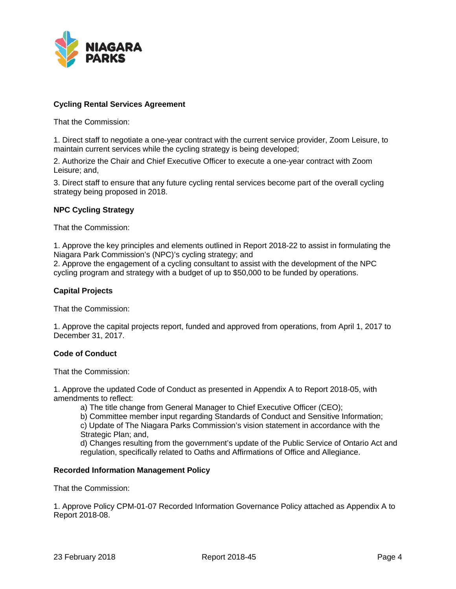

## **Cycling Rental Services Agreement**

That the Commission:

1. Direct staff to negotiate a one-year contract with the current service provider, Zoom Leisure, to maintain current services while the cycling strategy is being developed;

2. Authorize the Chair and Chief Executive Officer to execute a one-year contract with Zoom Leisure; and,

3. Direct staff to ensure that any future cycling rental services become part of the overall cycling strategy being proposed in 2018.

## **NPC Cycling Strategy**

That the Commission:

1. Approve the key principles and elements outlined in Report 2018-22 to assist in formulating the Niagara Park Commission's (NPC)'s cycling strategy; and

2. Approve the engagement of a cycling consultant to assist with the development of the NPC cycling program and strategy with a budget of up to \$50,000 to be funded by operations.

## **Capital Projects**

That the Commission:

1. Approve the capital projects report, funded and approved from operations, from April 1, 2017 to December 31, 2017.

## **Code of Conduct**

That the Commission:

1. Approve the updated Code of Conduct as presented in Appendix A to Report 2018-05, with amendments to reflect:

a) The title change from General Manager to Chief Executive Officer (CEO);

b) Committee member input regarding Standards of Conduct and Sensitive Information; c) Update of The Niagara Parks Commission's vision statement in accordance with the Strategic Plan; and,

d) Changes resulting from the government's update of the Public Service of Ontario Act and regulation, specifically related to Oaths and Affirmations of Office and Allegiance.

## **Recorded Information Management Policy**

That the Commission:

1. Approve Policy CPM-01-07 Recorded Information Governance Policy attached as Appendix A to Report 2018-08.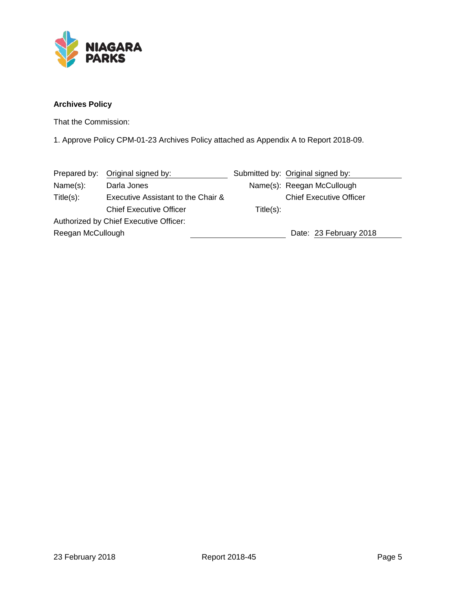

# **Archives Policy**

That the Commission:

1. Approve Policy CPM-01-23 Archives Policy attached as Appendix A to Report 2018-09.

|                                    |                                                                                                 | Submitted by: Original signed by: |
|------------------------------------|-------------------------------------------------------------------------------------------------|-----------------------------------|
| Darla Jones                        |                                                                                                 | Name(s): Reegan McCullough        |
| Executive Assistant to the Chair & |                                                                                                 | <b>Chief Executive Officer</b>    |
| <b>Chief Executive Officer</b>     | Title(s):                                                                                       |                                   |
|                                    |                                                                                                 |                                   |
|                                    |                                                                                                 | Date: 23 February 2018            |
|                                    | Prepared by: Original signed by:<br>Authorized by Chief Executive Officer:<br>Reegan McCullough |                                   |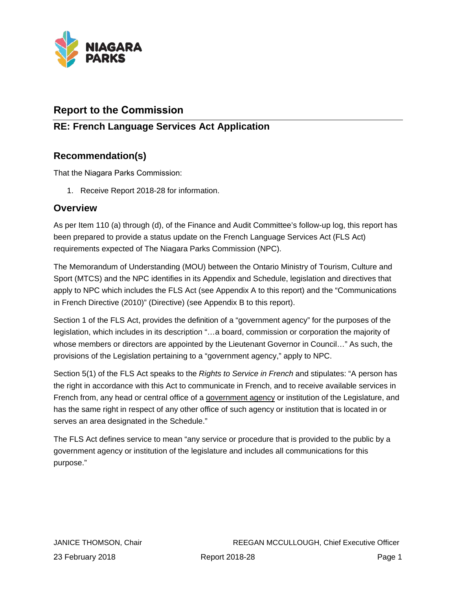

# **Report to the Commission**

# **RE: French Language Services Act Application**

# **Recommendation(s)**

That the Niagara Parks Commission:

1. Receive Report 2018-28 for information.

# **Overview**

As per Item 110 (a) through (d), of the Finance and Audit Committee's follow-up log, this report has been prepared to provide a status update on the French Language Services Act (FLS Act) requirements expected of The Niagara Parks Commission (NPC).

The Memorandum of Understanding (MOU) between the Ontario Ministry of Tourism, Culture and Sport (MTCS) and the NPC identifies in its Appendix and Schedule, legislation and directives that apply to NPC which includes the FLS Act (see Appendix A to this report) and the "Communications in French Directive (2010)" (Directive) (see Appendix B to this report).

Section 1 of the FLS Act, provides the definition of a "government agency" for the purposes of the legislation, which includes in its description "…a board, commission or corporation the majority of whose members or directors are appointed by the Lieutenant Governor in Council..." As such, the provisions of the Legislation pertaining to a "government agency," apply to NPC.

Section 5(1) of the FLS Act speaks to the *Rights to Service in French* and stipulates: "A person has the right in accordance with this Act to communicate in French, and to receive available services in French from, any head or central office of a government agency or institution of the Legislature, and has the same right in respect of any other office of such agency or institution that is located in or serves an area designated in the Schedule."

The FLS Act defines service to mean "any service or procedure that is provided to the public by a government agency or institution of the legislature and includes all communications for this purpose."

JANICE THOMSON, Chair REEGAN MCCULLOUGH, Chief Executive Officer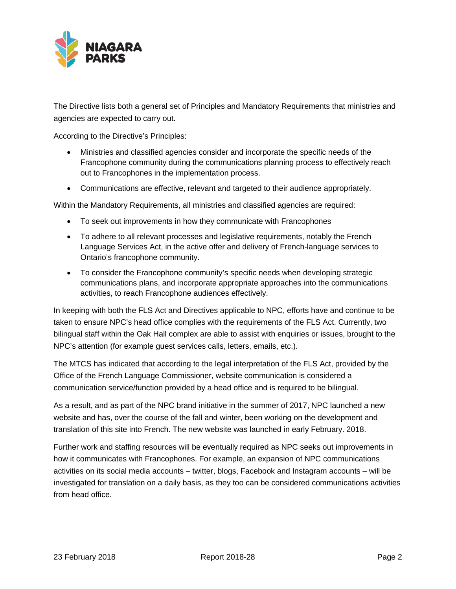

The Directive lists both a general set of Principles and Mandatory Requirements that ministries and agencies are expected to carry out.

According to the Directive's Principles:

- Ministries and classified agencies consider and incorporate the specific needs of the Francophone community during the communications planning process to effectively reach out to Francophones in the implementation process.
- Communications are effective, relevant and targeted to their audience appropriately.

Within the Mandatory Requirements, all ministries and classified agencies are required:

- To seek out improvements in how they communicate with Francophones
- To adhere to all relevant processes and legislative requirements, notably the French Language Services Act, in the active offer and delivery of French-language services to Ontario's francophone community.
- To consider the Francophone community's specific needs when developing strategic communications plans, and incorporate appropriate approaches into the communications activities, to reach Francophone audiences effectively.

In keeping with both the FLS Act and Directives applicable to NPC, efforts have and continue to be taken to ensure NPC's head office complies with the requirements of the FLS Act. Currently, two bilingual staff within the Oak Hall complex are able to assist with enquiries or issues, brought to the NPC's attention (for example guest services calls, letters, emails, etc.).

The MTCS has indicated that according to the legal interpretation of the FLS Act, provided by the Office of the French Language Commissioner, website communication is considered a communication service/function provided by a head office and is required to be bilingual.

As a result, and as part of the NPC brand initiative in the summer of 2017, NPC launched a new website and has, over the course of the fall and winter, been working on the development and translation of this site into French. The new website was launched in early February. 2018.

Further work and staffing resources will be eventually required as NPC seeks out improvements in how it communicates with Francophones. For example, an expansion of NPC communications activities on its social media accounts – twitter, blogs, Facebook and Instagram accounts – will be investigated for translation on a daily basis, as they too can be considered communications activities from head office.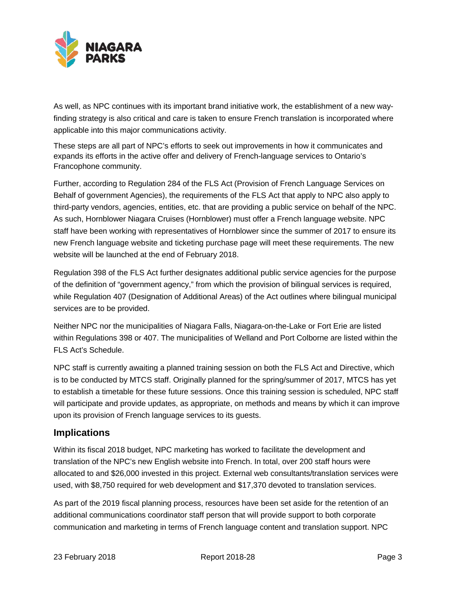

As well, as NPC continues with its important brand initiative work, the establishment of a new wayfinding strategy is also critical and care is taken to ensure French translation is incorporated where applicable into this major communications activity.

These steps are all part of NPC's efforts to seek out improvements in how it communicates and expands its efforts in the active offer and delivery of French-language services to Ontario's Francophone community.

Further, according to Regulation 284 of the FLS Act (Provision of French Language Services on Behalf of government Agencies), the requirements of the FLS Act that apply to NPC also apply to third-party vendors, agencies, entities, etc. that are providing a public service on behalf of the NPC. As such, Hornblower Niagara Cruises (Hornblower) must offer a French language website. NPC staff have been working with representatives of Hornblower since the summer of 2017 to ensure its new French language website and ticketing purchase page will meet these requirements. The new website will be launched at the end of February 2018.

Regulation 398 of the FLS Act further designates additional public service agencies for the purpose of the definition of "government agency," from which the provision of bilingual services is required, while Regulation 407 (Designation of Additional Areas) of the Act outlines where bilingual municipal services are to be provided.

Neither NPC nor the municipalities of Niagara Falls, Niagara-on-the-Lake or Fort Erie are listed within Regulations 398 or 407. The municipalities of Welland and Port Colborne are listed within the FLS Act's Schedule.

NPC staff is currently awaiting a planned training session on both the FLS Act and Directive, which is to be conducted by MTCS staff. Originally planned for the spring/summer of 2017, MTCS has yet to establish a timetable for these future sessions. Once this training session is scheduled, NPC staff will participate and provide updates, as appropriate, on methods and means by which it can improve upon its provision of French language services to its guests.

# **Implications**

Within its fiscal 2018 budget, NPC marketing has worked to facilitate the development and translation of the NPC's new English website into French. In total, over 200 staff hours were allocated to and \$26,000 invested in this project. External web consultants/translation services were used, with \$8,750 required for web development and \$17,370 devoted to translation services.

As part of the 2019 fiscal planning process, resources have been set aside for the retention of an additional communications coordinator staff person that will provide support to both corporate communication and marketing in terms of French language content and translation support. NPC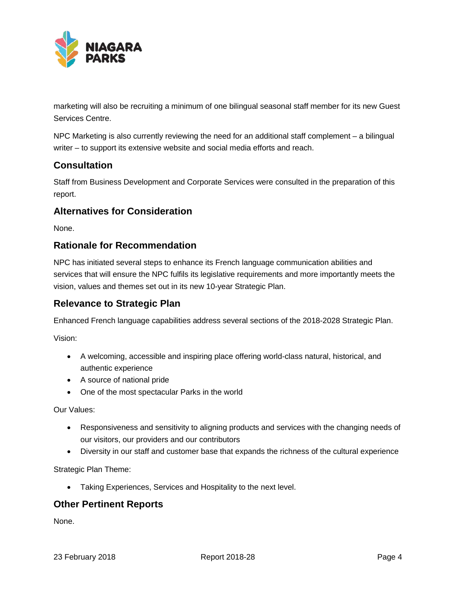

marketing will also be recruiting a minimum of one bilingual seasonal staff member for its new Guest Services Centre.

NPC Marketing is also currently reviewing the need for an additional staff complement – a bilingual writer – to support its extensive website and social media efforts and reach.

# **Consultation**

Staff from Business Development and Corporate Services were consulted in the preparation of this report.

# **Alternatives for Consideration**

None.

# **Rationale for Recommendation**

NPC has initiated several steps to enhance its French language communication abilities and services that will ensure the NPC fulfils its legislative requirements and more importantly meets the vision, values and themes set out in its new 10-year Strategic Plan.

# **Relevance to Strategic Plan**

Enhanced French language capabilities address several sections of the 2018-2028 Strategic Plan.

Vision:

- A welcoming, accessible and inspiring place offering world-class natural, historical, and authentic experience
- A source of national pride
- One of the most spectacular Parks in the world

Our Values:

- Responsiveness and sensitivity to aligning products and services with the changing needs of our visitors, our providers and our contributors
- Diversity in our staff and customer base that expands the richness of the cultural experience

Strategic Plan Theme:

• Taking Experiences, Services and Hospitality to the next level.

## **Other Pertinent Reports**

None.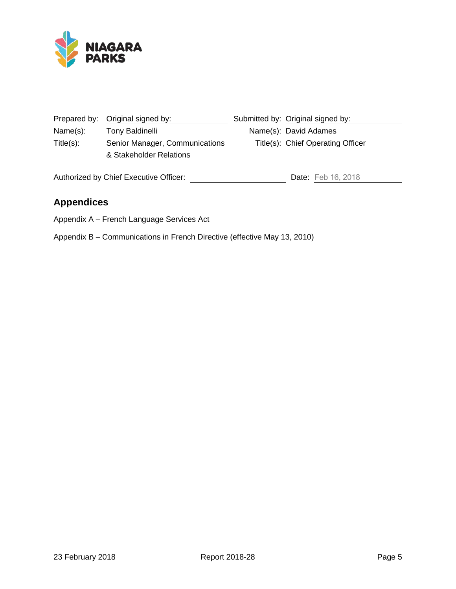

|              | Prepared by: Original signed by:                          | Submitted by: Original signed by: |
|--------------|-----------------------------------------------------------|-----------------------------------|
| Name(s):     | Tony Baldinelli                                           | Name(s): David Adames             |
| $Title(s)$ : | Senior Manager, Communications<br>& Stakeholder Relations | Title(s): Chief Operating Officer |
|              | Authorized by Chief Executive Officer:                    | <b>Date:</b> Feb 16, 2018         |

# **Appendices**

Appendix A – French Language Services Act

Appendix B – Communications in French Directive (effective May 13, 2010)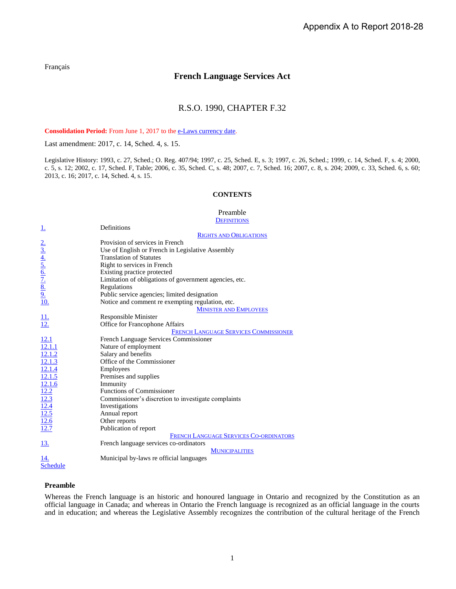[Français](http://www.ontario.ca/fr/lois/loi/90f32)

## **French Language Services Act**

## R.S.O. 1990, CHAPTER F.32

**Consolidation Period:** From June 1, 2017 to the e-Laws [currency date.](http://www.e-laws.gov.on.ca/navigation?file=currencyDates&lang=en)

Last amendment: [2017, c. 14, Sched. 4, s. 15.](http://www.ontario.ca/laws/statute/S17014#sched4s15)

Legislative History: 1993, c. 27, Sched.; [O. Reg. 407/94;](http://www.ontario.ca/laws/regulation/940407) 1997, c. 25, Sched. E, s. 3; 1997, c. 26, Sched.; 1999, c. 14, Sched. F, s. 4; [2000,](http://www.ontario.ca/laws/statute/S00005#s12)  [c. 5, s. 12;](http://www.ontario.ca/laws/statute/S00005#s12) [2002, c. 17, Sched.](http://www.ontario.ca/laws/statute/S02017#schedfs1s1) F, Table; [2006, c. 35, Sched. C, s. 48;](http://www.ontario.ca/laws/statute/S06035#schedcs48) [2007, c. 7, Sched. 16;](http://www.ontario.ca/laws/statute/S07007#sched16s1) [2007, c. 8, s. 204;](http://www.ontario.ca/laws/statute/S07008#s204) [2009, c. 33, Sched. 6, s. 60;](http://www.ontario.ca/laws/statute/S09033#sched6s60) [2013, c. 16;](http://www.ontario.ca/laws/statute/S13016#s1s1) [2017, c. 14, Sched. 4, s. 15.](http://www.ontario.ca/laws/statute/S17014#sched4s15)

## **CONTENTS**

### [Preamble](#page-10-0)

**D[EFINITIONS](#page-11-0)** 

| <u>1.</u>                                                                         | Definitions                                            |  |
|-----------------------------------------------------------------------------------|--------------------------------------------------------|--|
|                                                                                   | <b>RIGHTS AND OBLIGATIONS</b>                          |  |
|                                                                                   | Provision of services in French                        |  |
|                                                                                   | Use of English or French in Legislative Assembly       |  |
|                                                                                   | <b>Translation of Statutes</b>                         |  |
|                                                                                   | Right to services in French                            |  |
|                                                                                   | Existing practice protected                            |  |
| $\frac{2.4}{3.4}$<br>$\frac{4.5}{5.6}$<br>$\frac{6.7}{2.8}$<br>$\frac{8.9}{2.10}$ | Limitation of obligations of government agencies, etc. |  |
|                                                                                   | Regulations                                            |  |
|                                                                                   | Public service agencies; limited designation           |  |
|                                                                                   | Notice and comment re exempting regulation, etc.       |  |
|                                                                                   | <b>MINISTER AND EMPLOYEES</b>                          |  |
|                                                                                   | Responsible Minister                                   |  |
| $\frac{11}{12}$                                                                   | Office for Francophone Affairs                         |  |
|                                                                                   | <b>FRENCH LANGUAGE SERVICES COMMISSIONER</b>           |  |
| 12.1                                                                              | French Language Services Commissioner                  |  |
| 12.1.1                                                                            | Nature of employment                                   |  |
| 12.1.2                                                                            | Salary and benefits                                    |  |
| 12.1.3                                                                            | Office of the Commissioner                             |  |
| 12.1.4                                                                            | Employees                                              |  |
| 12.1.5                                                                            | Premises and supplies                                  |  |
| 12.1.6                                                                            | Immunity                                               |  |
|                                                                                   | <b>Functions of Commissioner</b>                       |  |
| $\frac{12.2}{12.3}$ $\frac{12.4}{12.5}$ $\frac{12.5}{12.6}$                       | Commissioner's discretion to investigate complaints    |  |
|                                                                                   | Investigations                                         |  |
|                                                                                   | Annual report                                          |  |
|                                                                                   | Other reports                                          |  |
| 12.7                                                                              | Publication of report                                  |  |
|                                                                                   | FRENCH LANGUAGE SERVICES CO-ORDINATORS                 |  |
| 13.                                                                               | French language services co-ordinators                 |  |
|                                                                                   | <b>MUNICIPALITIES</b>                                  |  |
| 14.                                                                               | Municipal by-laws re official languages                |  |
| <b>Schedule</b>                                                                   |                                                        |  |

## **Preamble**

<span id="page-10-0"></span>Whereas the French language is an historic and honoured language in Ontario and recognized by the Constitution as an official language in Canada; and whereas in Ontario the French language is recognized as an official language in the courts and in education; and whereas the Legislative Assembly recognizes the contribution of the cultural heritage of the French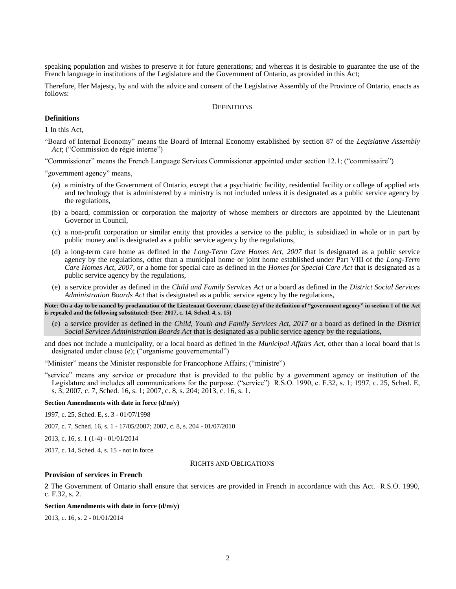speaking population and wishes to preserve it for future generations; and whereas it is desirable to guarantee the use of the French language in institutions of the Legislature and the Government of Ontario, as provided in this Act;

<span id="page-11-0"></span>Therefore, Her Majesty, by and with the advice and consent of the Legislative Assembly of the Province of Ontario, enacts as follows:

## **DEFINITIONS**

## **Definitions**

<span id="page-11-1"></span>**1** In this Act,

"Board of Internal Economy" means the Board of Internal Economy established by section 87 of the *Legislative Assembly Act*; ("Commission de régie interne")

"Commissioner" means the French Language Services Commissioner appointed under section 12.1; ("commissaire")

"government agency" means,

- (a) a ministry of the Government of Ontario, except that a psychiatric facility, residential facility or college of applied arts and technology that is administered by a ministry is not included unless it is designated as a public service agency by the regulations,
- (b) a board, commission or corporation the majority of whose members or directors are appointed by the Lieutenant Governor in Council,
- (c) a non-profit corporation or similar entity that provides a service to the public, is subsidized in whole or in part by public money and is designated as a public service agency by the regulations,
- (d) a long-term care home as defined in the *Long-Term Care Homes Act, 2007* that is designated as a public service agency by the regulations, other than a municipal home or joint home established under Part VIII of the *Long-Term Care Homes Act, 2007*, or a home for special care as defined in the *Homes for Special Care Act* that is designated as a public service agency by the regulations,
- (e) a service provider as defined in the *Child and Family Services Act* or a board as defined in the *District Social Services Administration Boards Act* that is designated as a public service agency by the regulations,

**Note: On a day to be named by proclamation of the Lieutenant Governor, clause (e) of the definition of "government agency" in section 1 of the Act is repealed and the following substituted: (See: 2017, c. 14, Sched. 4, s. 15)**

- (e) a service provider as defined in the *Child, Youth and Family Services Act, 2017* or a board as defined in the *District Social Services Administration Boards Act* that is designated as a public service agency by the regulations,
- and does not include a municipality, or a local board as defined in the *Municipal Affairs Act*, other than a local board that is designated under clause (e); ("organisme gouvernemental")

"Minister" means the Minister responsible for Francophone Affairs; ("ministre")

"service" means any service or procedure that is provided to the public by a government agency or institution of the Legislature and includes all communications for the purpose. ("service") R.S.O. 1990, c. F.32, s. 1; 1997, c. 25, Sched. E, s. 3; 2007, c. 7, Sched. 16, s. 1; 2007, c. 8, s. 204; 2013, c. 16, s. 1.

#### **Section Amendments with date in force (d/m/y)**

1997, c. 25, Sched. E, s. 3 - 01/07/1998

2007, c. [7, Sched.](http://www.ontario.ca/laws/statute/S07007#sched16s1) 16, s. 1 - 17/05/2007[; 2007, c.](http://www.ontario.ca/laws/statute/S07008#s204) 8, s. 204 - 01/07/2010

[2013, c. 16, s. 1](http://www.ontario.ca/laws/statute/S13016#s1s1) (1-4) - 01/01/2014

<span id="page-11-2"></span>[2017, c. 14, Sched. 4, s. 15](http://www.ontario.ca/laws/statute/S17014#sched4s15) - not in force

#### RIGHTS AND OBLIGATIONS

#### **Provision of services in French**

<span id="page-11-3"></span>**2** The Government of Ontario shall ensure that services are provided in French in accordance with this Act. R.S.O. 1990, c. F.32, s. 2.

#### **Section Amendments with date in force (d/m/y)**

[2013, c. 16, s. 2](http://www.ontario.ca/laws/statute/S13016#s2) - 01/01/2014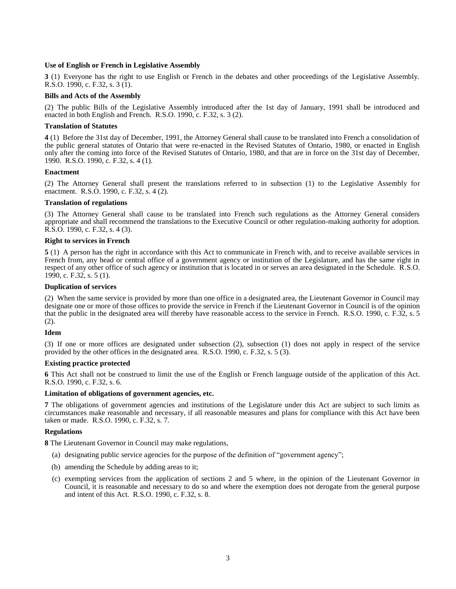## **Use of English or French in Legislative Assembly**

<span id="page-12-0"></span>**3** (1) Everyone has the right to use English or French in the debates and other proceedings of the Legislative Assembly. R.S.O. 1990, c. F.32, s. 3 (1).

## **Bills and Acts of the Assembly**

(2) The public Bills of the Legislative Assembly introduced after the 1st day of January, 1991 shall be introduced and enacted in both English and French. R.S.O. 1990, c. F.32, s. 3 (2).

## **Translation of Statutes**

<span id="page-12-1"></span>**4** (1) Before the 31st day of December, 1991, the Attorney General shall cause to be translated into French a consolidation of the public general statutes of Ontario that were re-enacted in the Revised Statutes of Ontario, 1980, or enacted in English only after the coming into force of the Revised Statutes of Ontario, 1980, and that are in force on the 31st day of December, 1990. R.S.O. 1990, c. F.32, s. 4 (1).

## **Enactment**

(2) The Attorney General shall present the translations referred to in subsection (1) to the Legislative Assembly for enactment. R.S.O. 1990, c. F.32, s. 4 (2).

## **Translation of regulations**

(3) The Attorney General shall cause to be translated into French such regulations as the Attorney General considers appropriate and shall recommend the translations to the Executive Council or other regulation-making authority for adoption. R.S.O. 1990, c. F.32, s. 4 (3).

## **Right to services in French**

<span id="page-12-2"></span>**5** (1) A person has the right in accordance with this Act to communicate in French with, and to receive available services in French from, any head or central office of a government agency or institution of the Legislature, and has the same right in respect of any other office of such agency or institution that is located in or serves an area designated in the Schedule. R.S.O. 1990, c. F.32, s. 5 (1).

## **Duplication of services**

(2) When the same service is provided by more than one office in a designated area, the Lieutenant Governor in Council may designate one or more of those offices to provide the service in French if the Lieutenant Governor in Council is of the opinion that the public in the designated area will thereby have reasonable access to the service in French. R.S.O. 1990, c. F.32, s. 5 (2).

## **Idem**

(3) If one or more offices are designated under subsection (2), subsection (1) does not apply in respect of the service provided by the other offices in the designated area. R.S.O. 1990, c. F.32, s. 5 (3).

## **Existing practice protected**

<span id="page-12-3"></span>**6** This Act shall not be construed to limit the use of the English or French language outside of the application of this Act. R.S.O. 1990, c. F.32, s. 6.

## **Limitation of obligations of government agencies, etc.**

<span id="page-12-4"></span>**7** The obligations of government agencies and institutions of the Legislature under this Act are subject to such limits as circumstances make reasonable and necessary, if all reasonable measures and plans for compliance with this Act have been taken or made. R.S.O. 1990, c. F.32, s. 7.

## **Regulations**

<span id="page-12-5"></span>**8** The Lieutenant Governor in Council may make regulations,

- (a) designating public service agencies for the purpose of the definition of "government agency";
- (b) amending the Schedule by adding areas to it;
- (c) exempting services from the application of sections 2 and 5 where, in the opinion of the Lieutenant Governor in Council, it is reasonable and necessary to do so and where the exemption does not derogate from the general purpose and intent of this Act. R.S.O. 1990, c. F.32, s. 8.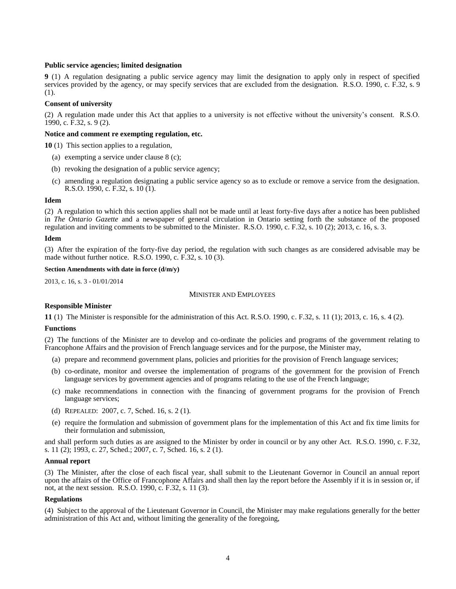## **Public service agencies; limited designation**

<span id="page-13-0"></span>**9** (1) A regulation designating a public service agency may limit the designation to apply only in respect of specified services provided by the agency, or may specify services that are excluded from the designation. R.S.O. 1990, c. F.32, s. 9 (1).

## **Consent of university**

(2) A regulation made under this Act that applies to a university is not effective without the university's consent. R.S.O. 1990, c. F.32, s. 9 (2).

## **Notice and comment re exempting regulation, etc.**

<span id="page-13-1"></span>**10** (1) This section applies to a regulation,

- (a) exempting a service under clause 8 (c);
- (b) revoking the designation of a public service agency;
- (c) amending a regulation designating a public service agency so as to exclude or remove a service from the designation. R.S.O. 1990, c. F.32, s. 10 (1).

#### **Idem**

(2) A regulation to which this section applies shall not be made until at least forty-five days after a notice has been published in *The Ontario Gazette* and a newspaper of general circulation in Ontario setting forth the substance of the proposed regulation and inviting comments to be submitted to the Minister. R.S.O. 1990, c. F.32, s. 10 (2); 2013, c. 16, s. 3.

### **Idem**

(3) After the expiration of the forty-five day period, the regulation with such changes as are considered advisable may be made without further notice. R.S.O. 1990, c. F.32, s. 10 (3).

### **Section Amendments with date in force (d/m/y)**

<span id="page-13-2"></span>[2013, c. 16, s. 3](http://www.ontario.ca/laws/statute/S13016#s3) - 01/01/2014

## MINISTER AND EMPLOYEES

## **Responsible Minister**

<span id="page-13-3"></span>**11** (1) The Minister is responsible for the administration of this Act. R.S.O. 1990, c. F.32, s. 11 (1); 2013, c. 16, s. 4 (2).

#### **Functions**

(2) The functions of the Minister are to develop and co-ordinate the policies and programs of the government relating to Francophone Affairs and the provision of French language services and for the purpose, the Minister may,

- (a) prepare and recommend government plans, policies and priorities for the provision of French language services;
- (b) co-ordinate, monitor and oversee the implementation of programs of the government for the provision of French language services by government agencies and of programs relating to the use of the French language;
- (c) make recommendations in connection with the financing of government programs for the provision of French language services;
- (d) REPEALED: 2007, c. 7, Sched. 16, s. 2 (1).
- (e) require the formulation and submission of government plans for the implementation of this Act and fix time limits for their formulation and submission,

and shall perform such duties as are assigned to the Minister by order in council or by any other Act. R.S.O. 1990, c. F.32, s. 11 (2); 1993, c. 27, Sched.; 2007, c. 7, Sched. 16, s. 2 (1).

#### **Annual report**

(3) The Minister, after the close of each fiscal year, shall submit to the Lieutenant Governor in Council an annual report upon the affairs of the Office of Francophone Affairs and shall then lay the report before the Assembly if it is in session or, if not, at the next session. R.S.O. 1990, c. F.32, s. 11 (3).

#### **Regulations**

(4) Subject to the approval of the Lieutenant Governor in Council, the Minister may make regulations generally for the better administration of this Act and, without limiting the generality of the foregoing,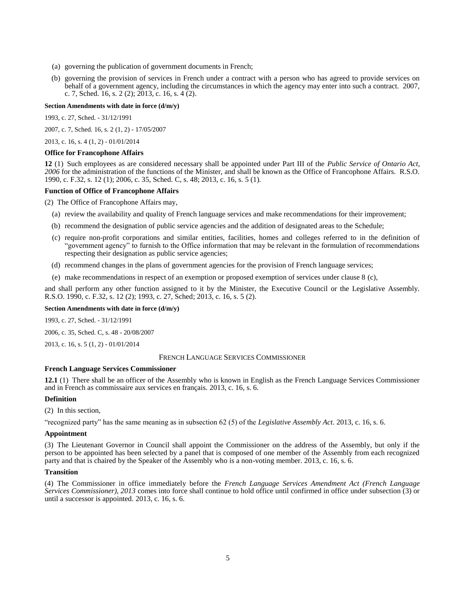- (a) governing the publication of government documents in French;
- (b) governing the provision of services in French under a contract with a person who has agreed to provide services on behalf of a government agency, including the circumstances in which the agency may enter into such a contract. 2007, c. 7, Sched. 16, s. 2 (2); 2013, c. 16, s. 4 (2).

#### **Section Amendments with date in force (d/m/y)**

1993, c. 27, Sched. - 31/12/1991

2007, c. [7, Sched.](http://www.ontario.ca/laws/statute/S07007#sched16s2s1) 16, s. 2 (1, 2) - 17/05/2007

[2013, c.](http://www.ontario.ca/laws/statute/S13016#s4s1) 16, s. 4 (1, 2) - 01/01/2014

#### **Office for Francophone Affairs**

<span id="page-14-0"></span>**12** (1) Such employees as are considered necessary shall be appointed under Part III of the *Public Service of Ontario Act, 2006* for the administration of the functions of the Minister, and shall be known as the Office of Francophone Affairs. R.S.O. 1990, c. F.32, s. 12 (1); 2006, c. 35, Sched. C, s. 48; 2013, c. 16, s. 5 (1).

### **Function of Office of Francophone Affairs**

(2) The Office of Francophone Affairs may,

- (a) review the availability and quality of French language services and make recommendations for their improvement;
- (b) recommend the designation of public service agencies and the addition of designated areas to the Schedule;
- (c) require non-profit corporations and similar entities, facilities, homes and colleges referred to in the definition of "government agency" to furnish to the Office information that may be relevant in the formulation of recommendations respecting their designation as public service agencies;
- (d) recommend changes in the plans of government agencies for the provision of French language services;
- (e) make recommendations in respect of an exemption or proposed exemption of services under clause 8 (c),

and shall perform any other function assigned to it by the Minister, the Executive Council or the Legislative Assembly. R.S.O. 1990, c. F.32, s. 12 (2); 1993, c. 27, Sched; 2013, c. 16, s. 5 (2).

### **Section Amendments with date in force (d/m/y)**

1993, c. 27, Sched. - 31/12/1991

2006, c. [35, Sched.](http://www.ontario.ca/laws/statute/S06035#schedcs48) C, s. 48 - 20/08/2007

<span id="page-14-1"></span>[2013, c.](http://www.ontario.ca/laws/statute/S13016#s5s1) 16, s. 5 (1, 2) - 01/01/2014

## FRENCH LANGUAGE SERVICES COMMISSIONER

## **French Language Services Commissioner**

<span id="page-14-2"></span>**12.1** (1) There shall be an officer of the Assembly who is known in English as the French Language Services Commissioner and in French as commissaire aux services en français. 2013, c. 16, s. 6.

## **Definition**

(2) In this section,

"recognized party" has the same meaning as in subsection 62 (5) of the *Legislative Assembly Act*. 2013, c. 16, s. 6.

## **Appointment**

(3) The Lieutenant Governor in Council shall appoint the Commissioner on the address of the Assembly, but only if the person to be appointed has been selected by a panel that is composed of one member of the Assembly from each recognized party and that is chaired by the Speaker of the Assembly who is a non-voting member. 2013, c. 16, s. 6.

## **Transition**

(4) The Commissioner in office immediately before the *French Language Services Amendment Act (French Language Services Commissioner), 2013* comes into force shall continue to hold office until confirmed in office under subsection (3) or until a successor is appointed. 2013, c. 16, s. 6.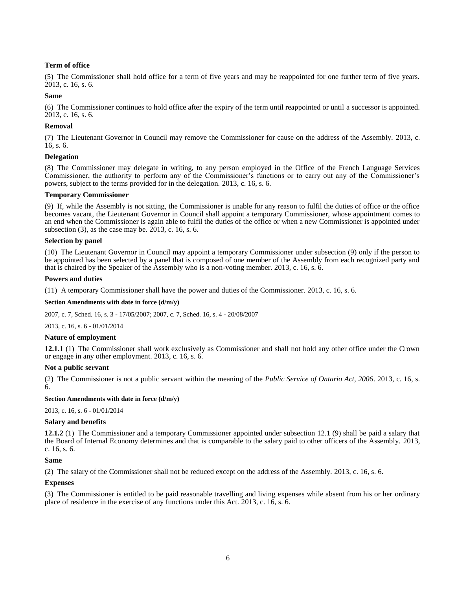## **Term of office**

(5) The Commissioner shall hold office for a term of five years and may be reappointed for one further term of five years. 2013, c. 16, s. 6.

## **Same**

(6) The Commissioner continues to hold office after the expiry of the term until reappointed or until a successor is appointed. 2013, c. 16, s. 6.

## **Removal**

(7) The Lieutenant Governor in Council may remove the Commissioner for cause on the address of the Assembly. 2013, c. 16, s. 6.

### **Delegation**

(8) The Commissioner may delegate in writing, to any person employed in the Office of the French Language Services Commissioner, the authority to perform any of the Commissioner's functions or to carry out any of the Commissioner's powers, subject to the terms provided for in the delegation. 2013, c. 16, s. 6.

### **Temporary Commissioner**

(9) If, while the Assembly is not sitting, the Commissioner is unable for any reason to fulfil the duties of office or the office becomes vacant, the Lieutenant Governor in Council shall appoint a temporary Commissioner, whose appointment comes to an end when the Commissioner is again able to fulfil the duties of the office or when a new Commissioner is appointed under subsection (3), as the case may be. 2013, c. 16, s. 6.

## **Selection by panel**

(10) The Lieutenant Governor in Council may appoint a temporary Commissioner under subsection (9) only if the person to be appointed has been selected by a panel that is composed of one member of the Assembly from each recognized party and that is chaired by the Speaker of the Assembly who is a non-voting member. 2013, c. 16, s. 6.

### **Powers and duties**

(11) A temporary Commissioner shall have the power and duties of the Commissioner. 2013, c. 16, s. 6.

#### **Section Amendments with date in force (d/m/y)**

[2007, c. 7, Sched. 16, s. 3](http://www.ontario.ca/laws/statute/S07007#sched16s3) - 17/05/2007[; 2007, c. 7, Sched. 16, s. 4](http://www.ontario.ca/laws/statute/S07007#sched16s4) - 20/08/2007

[2013, c. 16, s. 6](http://www.ontario.ca/laws/statute/S13016#s6) - 01/01/2014

#### **Nature of employment**

<span id="page-15-0"></span>**12.1.1** (1) The Commissioner shall work exclusively as Commissioner and shall not hold any other office under the Crown or engage in any other employment. 2013, c. 16, s. 6.

#### **Not a public servant**

(2) The Commissioner is not a public servant within the meaning of the *Public Service of Ontario Act, 2006*. 2013, c. 16, s. 6.

**Section Amendments with date in force (d/m/y)**

[2013, c. 16, s. 6](http://www.ontario.ca/laws/statute/S13016#s6) - 01/01/2014

#### **Salary and benefits**

<span id="page-15-1"></span>**12.1.2** (1) The Commissioner and a temporary Commissioner appointed under subsection 12.1 (9) shall be paid a salary that the Board of Internal Economy determines and that is comparable to the salary paid to other officers of the Assembly. 2013, c. 16, s. 6.

## **Same**

(2) The salary of the Commissioner shall not be reduced except on the address of the Assembly. 2013, c. 16, s. 6.

## **Expenses**

(3) The Commissioner is entitled to be paid reasonable travelling and living expenses while absent from his or her ordinary place of residence in the exercise of any functions under this Act. 2013, c. 16, s. 6.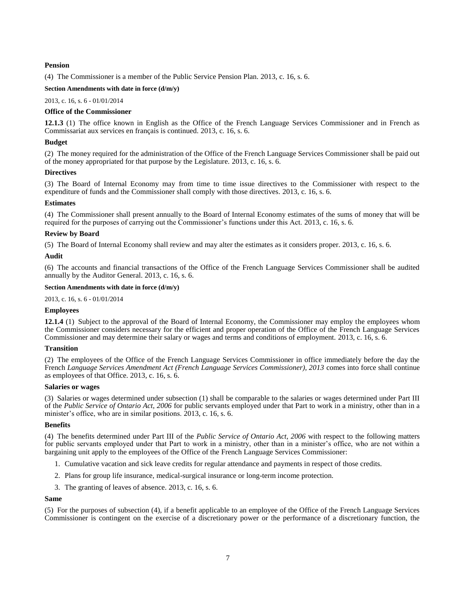## **Pension**

(4) The Commissioner is a member of the Public Service Pension Plan. 2013, c. 16, s. 6.

## **Section Amendments with date in force (d/m/y)**

[2013, c. 16, s. 6](http://www.ontario.ca/laws/statute/S13016#s6) - 01/01/2014

## **Office of the Commissioner**

<span id="page-16-0"></span>**12.1.3** (1) The office known in English as the Office of the French Language Services Commissioner and in French as Commissariat aux services en français is continued. 2013, c. 16, s. 6.

## **Budget**

(2) The money required for the administration of the Office of the French Language Services Commissioner shall be paid out of the money appropriated for that purpose by the Legislature. 2013, c. 16, s. 6.

### **Directives**

(3) The Board of Internal Economy may from time to time issue directives to the Commissioner with respect to the expenditure of funds and the Commissioner shall comply with those directives. 2013, c. 16, s. 6.

### **Estimates**

(4) The Commissioner shall present annually to the Board of Internal Economy estimates of the sums of money that will be required for the purposes of carrying out the Commissioner's functions under this Act. 2013, c. 16, s. 6.

### **Review by Board**

(5) The Board of Internal Economy shall review and may alter the estimates as it considers proper. 2013, c. 16, s. 6.

### **Audit**

(6) The accounts and financial transactions of the Office of the French Language Services Commissioner shall be audited annually by the Auditor General. 2013, c. 16, s. 6.

## **Section Amendments with date in force (d/m/y)**

[2013, c. 16, s. 6](http://www.ontario.ca/laws/statute/S13016#s6) - 01/01/2014

## **Employees**

<span id="page-16-1"></span>**12.1.4** (1) Subject to the approval of the Board of Internal Economy, the Commissioner may employ the employees whom the Commissioner considers necessary for the efficient and proper operation of the Office of the French Language Services Commissioner and may determine their salary or wages and terms and conditions of employment. 2013, c. 16, s. 6.

## **Transition**

(2) The employees of the Office of the French Language Services Commissioner in office immediately before the day the French *Language Services Amendment Act (French Language Services Commissioner), 2013* comes into force shall continue as employees of that Office. 2013, c. 16, s. 6.

#### **Salaries or wages**

(3) Salaries or wages determined under subsection (1) shall be comparable to the salaries or wages determined under Part III of the *Public Service of Ontario Act, 2006* for public servants employed under that Part to work in a ministry, other than in a minister's office, who are in similar positions. 2013, c. 16, s. 6.

## **Benefits**

(4) The benefits determined under Part III of the *Public Service of Ontario Act, 2006* with respect to the following matters for public servants employed under that Part to work in a ministry, other than in a minister's office, who are not within a bargaining unit apply to the employees of the Office of the French Language Services Commissioner:

- 1. Cumulative vacation and sick leave credits for regular attendance and payments in respect of those credits.
- 2. Plans for group life insurance, medical-surgical insurance or long-term income protection.
- 3. The granting of leaves of absence. 2013, c. 16, s. 6.

### **Same**

(5) For the purposes of subsection (4), if a benefit applicable to an employee of the Office of the French Language Services Commissioner is contingent on the exercise of a discretionary power or the performance of a discretionary function, the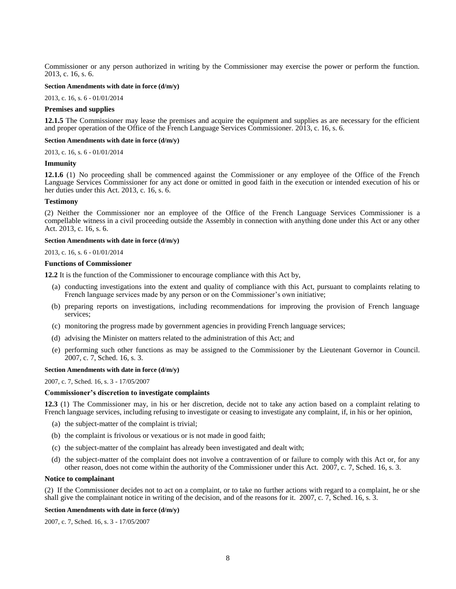Commissioner or any person authorized in writing by the Commissioner may exercise the power or perform the function. 2013, c. 16, s. 6.

#### **Section Amendments with date in force (d/m/y)**

[2013, c. 16, s. 6](http://www.ontario.ca/laws/statute/S13016#s6) - 01/01/2014

#### **Premises and supplies**

<span id="page-17-0"></span>**12.1.5** The Commissioner may lease the premises and acquire the equipment and supplies as are necessary for the efficient and proper operation of the Office of the French Language Services Commissioner. 2013, c. 16, s. 6.

#### **Section Amendments with date in force (d/m/y)**

[2013, c. 16, s. 6](http://www.ontario.ca/laws/statute/S13016#s6) - 01/01/2014

#### **Immunity**

<span id="page-17-1"></span>**12.1.6** (1) No proceeding shall be commenced against the Commissioner or any employee of the Office of the French Language Services Commissioner for any act done or omitted in good faith in the execution or intended execution of his or her duties under this Act. 2013, c. 16, s. 6.

#### **Testimony**

(2) Neither the Commissioner nor an employee of the Office of the French Language Services Commissioner is a compellable witness in a civil proceeding outside the Assembly in connection with anything done under this Act or any other Act. 2013, c. 16, s. 6.

#### **Section Amendments with date in force (d/m/y)**

#### [2013, c. 16, s. 6](http://www.ontario.ca/laws/statute/S13016#s6) - 01/01/2014

#### **Functions of Commissioner**

<span id="page-17-2"></span>**12.2** It is the function of the Commissioner to encourage compliance with this Act by,

- (a) conducting investigations into the extent and quality of compliance with this Act, pursuant to complaints relating to French language services made by any person or on the Commissioner's own initiative;
- (b) preparing reports on investigations, including recommendations for improving the provision of French language services;
- (c) monitoring the progress made by government agencies in providing French language services;
- (d) advising the Minister on matters related to the administration of this Act; and
- (e) performing such other functions as may be assigned to the Commissioner by the Lieutenant Governor in Council. 2007, c. 7, Sched. 16, s. 3.

## **Section Amendments with date in force (d/m/y)**

[2007, c. 7, Sched. 16, s. 3](http://www.ontario.ca/laws/statute/S07007#sched16s3) - 17/05/2007

#### **Commissioner's discretion to investigate complaints**

<span id="page-17-3"></span>**12.3** (1) The Commissioner may, in his or her discretion, decide not to take any action based on a complaint relating to French language services, including refusing to investigate or ceasing to investigate any complaint, if, in his or her opinion,

- (a) the subject-matter of the complaint is trivial;
- (b) the complaint is frivolous or vexatious or is not made in good faith;
- (c) the subject-matter of the complaint has already been investigated and dealt with;
- (d) the subject-matter of the complaint does not involve a contravention of or failure to comply with this Act or, for any other reason, does not come within the authority of the Commissioner under this Act. 2007, c. 7, Sched. 16, s. 3.

#### **Notice to complainant**

(2) If the Commissioner decides not to act on a complaint, or to take no further actions with regard to a complaint, he or she shall give the complainant notice in writing of the decision, and of the reasons for it. 2007, c. 7, Sched. 16, s. 3.

#### **Section Amendments with date in force (d/m/y)**

[2007, c. 7, Sched. 16, s. 3](http://www.ontario.ca/laws/statute/S07007#sched16s3) - 17/05/2007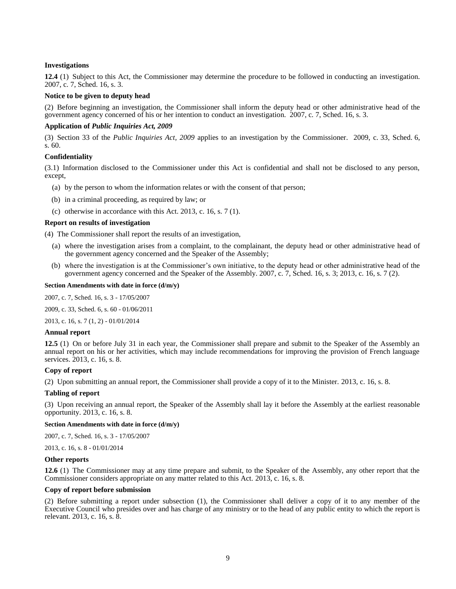## **Investigations**

<span id="page-18-0"></span>**12.4** (1) Subject to this Act, the Commissioner may determine the procedure to be followed in conducting an investigation. 2007, c. 7, Sched. 16, s. 3.

## **Notice to be given to deputy head**

(2) Before beginning an investigation, the Commissioner shall inform the deputy head or other administrative head of the government agency concerned of his or her intention to conduct an investigation. 2007, c. 7, Sched. 16, s. 3.

## **Application of** *Public Inquiries Act, 2009*

(3) Section 33 of the *Public Inquiries Act, 2009* applies to an investigation by the Commissioner. 2009, c. 33, Sched. 6, s. 60.

### **Confidentiality**

(3.1) Information disclosed to the Commissioner under this Act is confidential and shall not be disclosed to any person, except,

- (a) by the person to whom the information relates or with the consent of that person;
- (b) in a criminal proceeding, as required by law; or
- (c) otherwise in accordance with this Act. 2013, c. 16, s. 7 (1).

#### **Report on results of investigation**

(4) The Commissioner shall report the results of an investigation,

- (a) where the investigation arises from a complaint, to the complainant, the deputy head or other administrative head of the government agency concerned and the Speaker of the Assembly;
- (b) where the investigation is at the Commissioner's own initiative, to the deputy head or other administrative head of the government agency concerned and the Speaker of the Assembly. 2007, c. 7, Sched. 16, s. 3; 2013, c. 16, s. 7 (2).

#### **Section Amendments with date in force (d/m/y)**

[2007, c. 7, Sched. 16, s. 3](http://www.ontario.ca/laws/statute/S07007#sched16s3) - 17/05/2007

2009, c. [33, Sched.](http://www.ontario.ca/laws/statute/S09033#sched6s60) 6, s. 60 - 01/06/2011

[2013, c. 16, s. 7 \(1, 2\)](http://www.ontario.ca/laws/statute/S13016#s7s1) - 01/01/2014

#### **Annual report**

<span id="page-18-1"></span>**12.5** (1) On or before July 31 in each year, the Commissioner shall prepare and submit to the Speaker of the Assembly an annual report on his or her activities, which may include recommendations for improving the provision of French language services. 2013, c. 16, s. 8.

### **Copy of report**

(2) Upon submitting an annual report, the Commissioner shall provide a copy of it to the Minister. 2013, c. 16, s. 8.

#### **Tabling of report**

(3) Upon receiving an annual report, the Speaker of the Assembly shall lay it before the Assembly at the earliest reasonable opportunity. 2013, c. 16, s. 8.

## **Section Amendments with date in force (d/m/y)**

[2007, c. 7, Sched. 16, s. 3](http://www.ontario.ca/laws/statute/S07007#sched16s3) - 17/05/2007

[2013, c. 16, s. 8](http://www.ontario.ca/laws/statute/S13016#s8) - 01/01/2014

#### **Other reports**

<span id="page-18-2"></span>**12.6** (1) The Commissioner may at any time prepare and submit, to the Speaker of the Assembly, any other report that the Commissioner considers appropriate on any matter related to this Act. 2013, c. 16, s. 8.

### **Copy of report before submission**

(2) Before submitting a report under subsection (1), the Commissioner shall deliver a copy of it to any member of the Executive Council who presides over and has charge of any ministry or to the head of any public entity to which the report is relevant. 2013, c. 16, s. 8.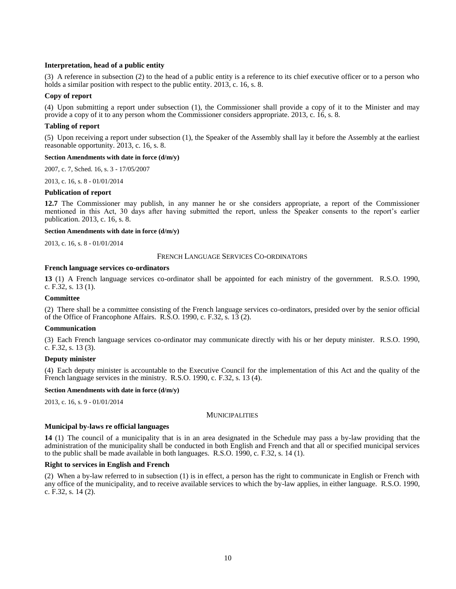## **Interpretation, head of a public entity**

(3) A reference in subsection (2) to the head of a public entity is a reference to its chief executive officer or to a person who holds a similar position with respect to the public entity. 2013, c. 16, s. 8.

### **Copy of report**

(4) Upon submitting a report under subsection (1), the Commissioner shall provide a copy of it to the Minister and may provide a copy of it to any person whom the Commissioner considers appropriate. 2013, c. 16, s. 8.

#### **Tabling of report**

(5) Upon receiving a report under subsection (1), the Speaker of the Assembly shall lay it before the Assembly at the earliest reasonable opportunity. 2013, c. 16, s. 8.

#### **Section Amendments with date in force (d/m/y)**

[2007, c. 7, Sched. 16, s. 3](http://www.ontario.ca/laws/statute/S07007#sched16s3) - 17/05/2007

[2013, c. 16, s. 8](http://www.ontario.ca/laws/statute/S13016#s8) - 01/01/2014

#### **Publication of report**

<span id="page-19-0"></span>**12.7** The Commissioner may publish, in any manner he or she considers appropriate, a report of the Commissioner mentioned in this Act, 30 days after having submitted the report, unless the Speaker consents to the report's earlier publication. 2013, c. 16, s. 8.

#### **Section Amendments with date in force (d/m/y)**

<span id="page-19-1"></span>[2013, c. 16, s. 8](http://www.ontario.ca/laws/statute/S13016#s8) - 01/01/2014

#### FRENCH LANGUAGE SERVICES CO-ORDINATORS

#### **French language services co-ordinators**

<span id="page-19-2"></span>**13** (1) A French language services co-ordinator shall be appointed for each ministry of the government. R.S.O. 1990, c. F.32, s. 13 (1).

#### **Committee**

(2) There shall be a committee consisting of the French language services co-ordinators, presided over by the senior official of the Office of Francophone Affairs. R.S.O. 1990, c. F.32, s. 13 (2).

#### **Communication**

(3) Each French language services co-ordinator may communicate directly with his or her deputy minister. R.S.O. 1990, c. F.32, s. 13 (3).

#### **Deputy minister**

(4) Each deputy minister is accountable to the Executive Council for the implementation of this Act and the quality of the French language services in the ministry. R.S.O. 1990, c. F.32, s. 13 (4).

#### **Section Amendments with date in force (d/m/y)**

<span id="page-19-3"></span>[2013, c. 16, s. 9](http://www.ontario.ca/laws/statute/S13016#s9) - 01/01/2014

#### **MUNICIPALITIES**

#### **Municipal by-laws re official languages**

<span id="page-19-4"></span>**14** (1) The council of a municipality that is in an area designated in the Schedule may pass a by-law providing that the administration of the municipality shall be conducted in both English and French and that all or specified municipal services to the public shall be made available in both languages. R.S.O. 1990, c. F.32, s. 14 (1).

### **Right to services in English and French**

(2) When a by-law referred to in subsection (1) is in effect, a person has the right to communicate in English or French with any office of the municipality, and to receive available services to which the by-law applies, in either language. R.S.O. 1990, c. F.32, s. 14 (2).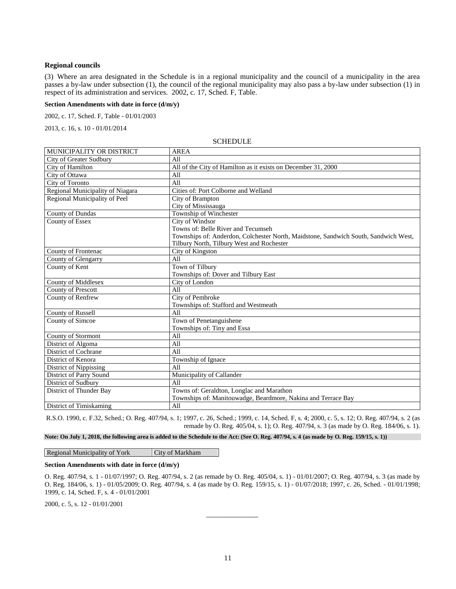### **Regional councils**

(3) Where an area designated in the Schedule is in a regional municipality and the council of a municipality in the area passes a by-law under subsection (1), the council of the regional municipality may also pass a by-law under subsection (1) in respect of its administration and services. 2002, c. 17, Sched. F, Table.

**Section Amendments with date in force (d/m/y)**

[2002, c. 17, Sched. F, Table](http://www.ontario.ca/laws/statute/S02017#schedfs1s1) - 01/01/2003

<span id="page-20-0"></span>[2013, c. 16, s. 10](http://www.ontario.ca/laws/statute/S13016#s10) - 01/01/2014

| MUNICIPALITY OR DISTRICT         | <b>AREA</b>                                                                         |
|----------------------------------|-------------------------------------------------------------------------------------|
| City of Greater Sudbury          | All                                                                                 |
| City of Hamilton                 | All of the City of Hamilton as it exists on December 31, 2000                       |
| City of Ottawa                   | All                                                                                 |
| <b>City of Toronto</b>           | A11                                                                                 |
| Regional Municipality of Niagara | Cities of: Port Colborne and Welland                                                |
| Regional Municipality of Peel    | City of Brampton                                                                    |
|                                  | City of Mississauga                                                                 |
| County of Dundas                 | Township of Winchester                                                              |
| <b>County of Essex</b>           | City of Windsor                                                                     |
|                                  | Towns of: Belle River and Tecumseh                                                  |
|                                  | Townships of: Anderdon, Colchester North, Maidstone, Sandwich South, Sandwich West, |
|                                  | Tilbury North, Tilbury West and Rochester                                           |
| County of Frontenac              | City of Kingston                                                                    |
| County of Glengarry              | All                                                                                 |
| County of Kent                   | Town of Tilbury                                                                     |
|                                  | Townships of: Dover and Tilbury East                                                |
| <b>County of Middlesex</b>       | City of London                                                                      |
| <b>County of Prescott</b>        | A11                                                                                 |
| County of Renfrew                | City of Pembroke                                                                    |
|                                  | Townships of: Stafford and Westmeath                                                |
| <b>County of Russell</b>         | All                                                                                 |
| County of Simcoe                 | Town of Penetanguishene                                                             |
|                                  | Townships of: Tiny and Essa                                                         |
| <b>County of Stormont</b>        | All                                                                                 |
| District of Algoma               | A11                                                                                 |
| District of Cochrane             | A11                                                                                 |
| District of Kenora               | Township of Ignace                                                                  |
| District of Nippissing           | A11                                                                                 |
| District of Parry Sound          | Municipality of Callander                                                           |
| District of Sudbury              | A11                                                                                 |
| District of Thunder Bay          | Towns of: Geraldton, Longlac and Marathon                                           |
|                                  | Townships of: Manitouwadge, Beardmore, Nakina and Terrace Bay                       |
| District of Timiskaming          | All                                                                                 |

**SCHEDULE** 

R.S.O. 1990, c. F.32, Sched.; O. Reg. 407/94, s. 1; 1997, c. 26, Sched.; 1999, c. 14, Sched. F, s. 4; 2000, c. 5, s. 12; O. Reg. 407/94, s. 2 (as remade by O. Reg. 405/04, s. 1); O. Reg. 407/94, s. 3 (as made by O. Reg. 184/06, s. 1).

**Note: On July 1, 2018, the following area is added to the Schedule to the Act: (See O. Reg. 407/94, s. 4 (as made by O. Reg. 159/15, s. 1))**

Regional Municipality of York City of Markham

## **Section Amendments with date in force (d/m/y)**

[O. Reg. 407/94, s. 1](http://www.ontario.ca/laws/regulation/940407#s1) - 01/07/1997[; O. Reg. 407/94, s. 2](http://www.ontario.ca/laws/regulation/940407#s2) (as remade by [O. Reg. 405/04, s. 1\)](http://www.ontario.ca/laws/regulation/r04405) - 01/01/2007; [O. Reg. 407/94, s. 3](http://www.ontario.ca/laws/regulation/940407#s3) (as made by [O. Reg. 184/06, s. 1\)](http://www.ontario.ca/laws/regulation/r06184) - 01/05/2009; [O. Reg. 407/94, s. 4](http://www.ontario.ca/laws/regulation/940407#ys4) (as made b[y O. Reg. 159/15, s. 1\)](http://www.ontario.ca/laws/regulation/r15159) - 01/07/2018; 1997, c. 26, Sched. - 01/01/1998; 1999, c. 14, Sched. F, s. 4 - 01/01/2001

\_\_\_\_\_\_\_\_\_\_\_\_\_\_

[2000, c. 5, s. 12](http://www.ontario.ca/laws/statute/S00005#s12) - 01/01/2001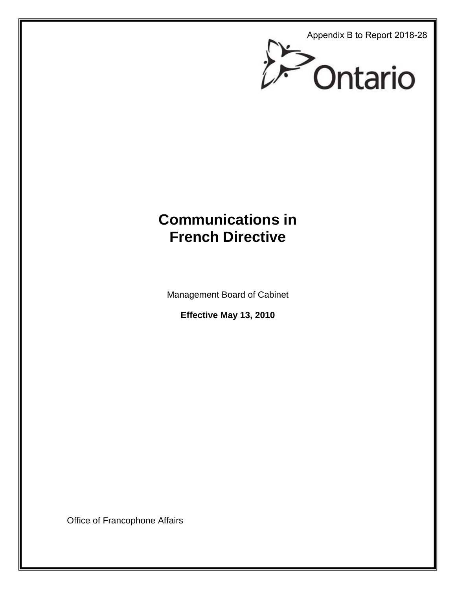Appendix B to Report 2018-28



# **Communications in French Directive**

Management Board of Cabinet

**Effective May 13, 2010** 

Office of Francophone Affairs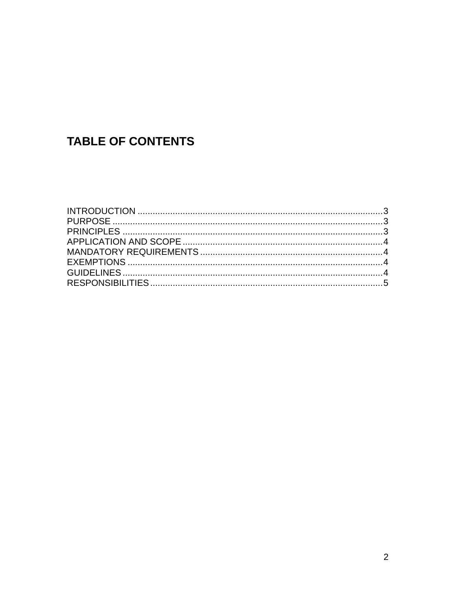# **TABLE OF CONTENTS**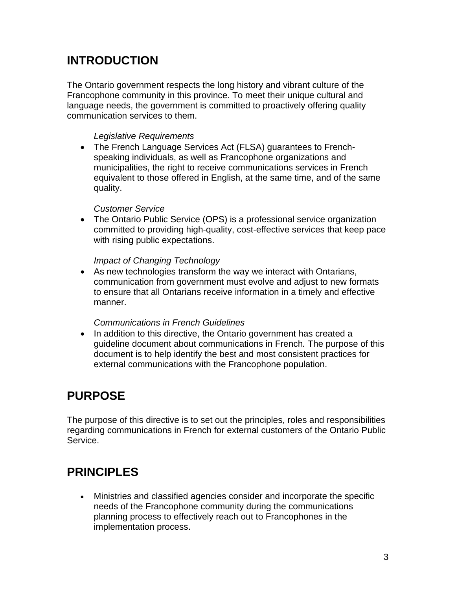# **INTRODUCTION**

The Ontario government respects the long history and vibrant culture of the Francophone community in this province. To meet their unique cultural and language needs, the government is committed to proactively offering quality communication services to them.

## *Legislative Requirements*

• The French Language Services Act (FLSA) guarantees to Frenchspeaking individuals, as well as Francophone organizations and municipalities, the right to receive communications services in French equivalent to those offered in English, at the same time, and of the same quality.

## *Customer Service*

• The Ontario Public Service (OPS) is a professional service organization committed to providing high-quality, cost-effective services that keep pace with rising public expectations.

## *Impact of Changing Technology*

• As new technologies transform the way we interact with Ontarians, communication from government must evolve and adjust to new formats to ensure that all Ontarians receive information in a timely and effective manner.

## *Communications in French Guidelines*

• In addition to this directive, the Ontario government has created a guideline document about communications in French*.* The purpose of this document is to help identify the best and most consistent practices for external communications with the Francophone population.

# **PURPOSE**

The purpose of this directive is to set out the principles, roles and responsibilities regarding communications in French for external customers of the Ontario Public Service.

# **PRINCIPLES**

• Ministries and classified agencies consider and incorporate the specific needs of the Francophone community during the communications planning process to effectively reach out to Francophones in the implementation process.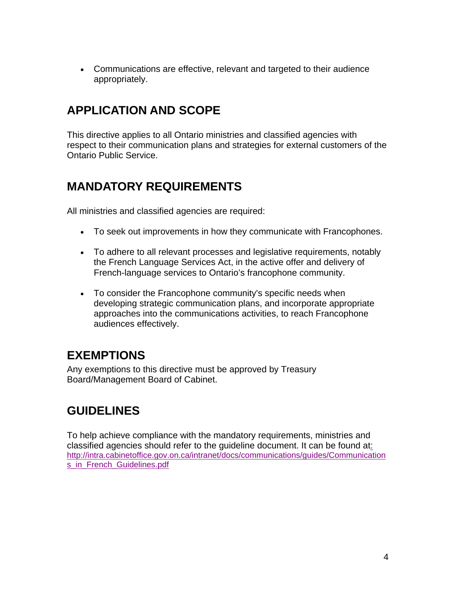• Communications are effective, relevant and targeted to their audience appropriately.

# **APPLICATION AND SCOPE**

This directive applies to all Ontario ministries and classified agencies with respect to their communication plans and strategies for external customers of the Ontario Public Service.

# **MANDATORY REQUIREMENTS**

All ministries and classified agencies are required:

- To seek out improvements in how they communicate with Francophones.
- To adhere to all relevant processes and legislative requirements, notably the French Language Services Act, in the active offer and delivery of French-language services to Ontario's francophone community.
- To consider the Francophone community's specific needs when developing strategic communication plans, and incorporate appropriate approaches into the communications activities, to reach Francophone audiences effectively.

# **EXEMPTIONS**

Any exemptions to this directive must be approved by Treasury Board/Management Board of Cabinet.

# **GUIDELINES**

To help achieve compliance with the mandatory requirements, ministries and classified agencies should refer to the guideline document. It can be found at: http://intra.cabinetoffice.gov.on.ca/intranet/docs/communications/guides/Communication s\_in\_French\_Guidelines.pdf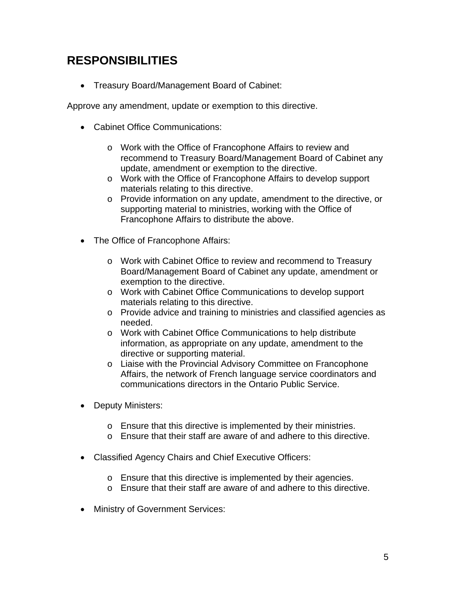# **RESPONSIBILITIES**

• Treasury Board/Management Board of Cabinet:

Approve any amendment, update or exemption to this directive.

- Cabinet Office Communications:
	- o Work with the Office of Francophone Affairs to review and recommend to Treasury Board/Management Board of Cabinet any update, amendment or exemption to the directive.
	- o Work with the Office of Francophone Affairs to develop support materials relating to this directive.
	- o Provide information on any update, amendment to the directive, or supporting material to ministries, working with the Office of Francophone Affairs to distribute the above.
- The Office of Francophone Affairs:
	- o Work with Cabinet Office to review and recommend to Treasury Board/Management Board of Cabinet any update, amendment or exemption to the directive.
	- o Work with Cabinet Office Communications to develop support materials relating to this directive.
	- o Provide advice and training to ministries and classified agencies as needed.
	- o Work with Cabinet Office Communications to help distribute information, as appropriate on any update, amendment to the directive or supporting material.
	- o Liaise with the Provincial Advisory Committee on Francophone Affairs, the network of French language service coordinators and communications directors in the Ontario Public Service.
- Deputy Ministers:
	- o Ensure that this directive is implemented by their ministries.
	- $\circ$  Ensure that their staff are aware of and adhere to this directive.
- Classified Agency Chairs and Chief Executive Officers:
	- o Ensure that this directive is implemented by their agencies.
	- o Ensure that their staff are aware of and adhere to this directive.
- Ministry of Government Services: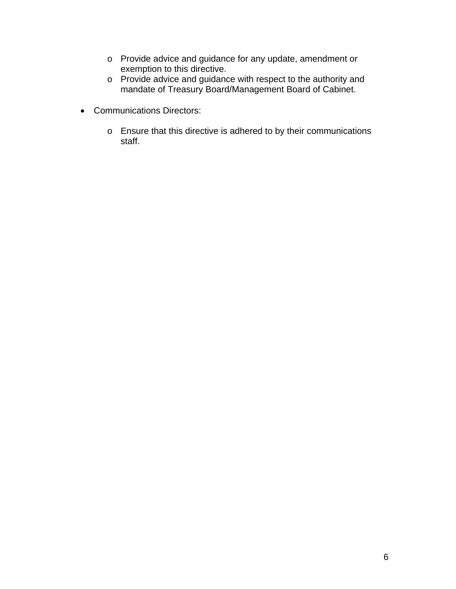- o Provide advice and guidance for any update, amendment or exemption to this directive.
- o Provide advice and guidance with respect to the authority and mandate of Treasury Board/Management Board of Cabinet.
- Communications Directors:
	- o Ensure that this directive is adhered to by their communications staff.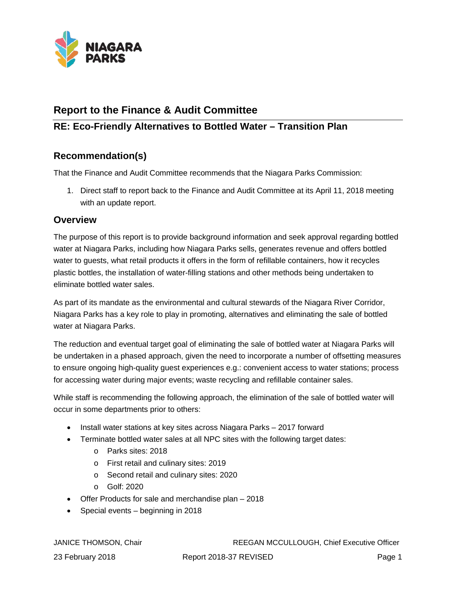

# **Report to the Finance & Audit Committee**

# **RE: Eco-Friendly Alternatives to Bottled Water – Transition Plan**

# **Recommendation(s)**

That the Finance and Audit Committee recommends that the Niagara Parks Commission:

1. Direct staff to report back to the Finance and Audit Committee at its April 11, 2018 meeting with an update report.

# **Overview**

The purpose of this report is to provide background information and seek approval regarding bottled water at Niagara Parks, including how Niagara Parks sells, generates revenue and offers bottled water to guests, what retail products it offers in the form of refillable containers, how it recycles plastic bottles, the installation of water-filling stations and other methods being undertaken to eliminate bottled water sales.

As part of its mandate as the environmental and cultural stewards of the Niagara River Corridor, Niagara Parks has a key role to play in promoting, alternatives and eliminating the sale of bottled water at Niagara Parks.

The reduction and eventual target goal of eliminating the sale of bottled water at Niagara Parks will be undertaken in a phased approach, given the need to incorporate a number of offsetting measures to ensure ongoing high-quality guest experiences e.g.: convenient access to water stations; process for accessing water during major events; waste recycling and refillable container sales.

While staff is recommending the following approach, the elimination of the sale of bottled water will occur in some departments prior to others:

- Install water stations at key sites across Niagara Parks 2017 forward
- Terminate bottled water sales at all NPC sites with the following target dates:
	- o Parks sites: 2018
	- o First retail and culinary sites: 2019
	- o Second retail and culinary sites: 2020
	- o Golf: 2020
- Offer Products for sale and merchandise plan 2018
- Special events beginning in 2018

JANICE THOMSON, Chair REEGAN MCCULLOUGH, Chief Executive Officer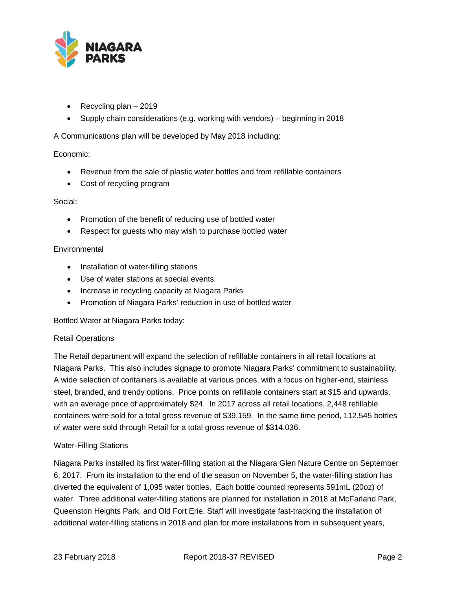

- Recycling plan 2019
- Supply chain considerations (e.g. working with vendors) beginning in 2018

A Communications plan will be developed by May 2018 including:

## Economic:

- Revenue from the sale of plastic water bottles and from refillable containers
- Cost of recycling program

## Social:

- Promotion of the benefit of reducing use of bottled water
- Respect for guests who may wish to purchase bottled water

## **Environmental**

- Installation of water-filling stations
- Use of water stations at special events
- Increase in recycling capacity at Niagara Parks
- Promotion of Niagara Parks' reduction in use of bottled water

Bottled Water at Niagara Parks today:

## Retail Operations

The Retail department will expand the selection of refillable containers in all retail locations at Niagara Parks. This also includes signage to promote Niagara Parks' commitment to sustainability. A wide selection of containers is available at various prices, with a focus on higher-end, stainless steel, branded, and trendy options. Price points on refillable containers start at \$15 and upwards, with an average price of approximately \$24. In 2017 across all retail locations, 2,448 refillable containers were sold for a total gross revenue of \$39,159. In the same time period, 112,545 bottles of water were sold through Retail for a total gross revenue of \$314,036.

## Water-Filling Stations

Niagara Parks installed its first water-filling station at the Niagara Glen Nature Centre on September 6, 2017. From its installation to the end of the season on November 5, the water-filling station has diverted the equivalent of 1,095 water bottles. Each bottle counted represents 591mL (20oz) of water. Three additional water-filling stations are planned for installation in 2018 at McFarland Park, Queenston Heights Park, and Old Fort Erie. Staff will investigate fast-tracking the installation of additional water-filling stations in 2018 and plan for more installations from in subsequent years,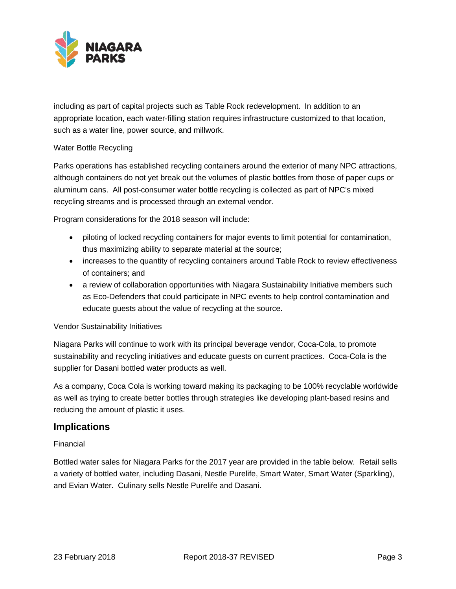

including as part of capital projects such as Table Rock redevelopment. In addition to an appropriate location, each water-filling station requires infrastructure customized to that location, such as a water line, power source, and millwork.

## Water Bottle Recycling

Parks operations has established recycling containers around the exterior of many NPC attractions, although containers do not yet break out the volumes of plastic bottles from those of paper cups or aluminum cans. All post-consumer water bottle recycling is collected as part of NPC's mixed recycling streams and is processed through an external vendor.

Program considerations for the 2018 season will include:

- piloting of locked recycling containers for major events to limit potential for contamination, thus maximizing ability to separate material at the source;
- increases to the quantity of recycling containers around Table Rock to review effectiveness of containers; and
- a review of collaboration opportunities with Niagara Sustainability Initiative members such as Eco-Defenders that could participate in NPC events to help control contamination and educate guests about the value of recycling at the source.

## Vendor Sustainability Initiatives

Niagara Parks will continue to work with its principal beverage vendor, Coca-Cola, to promote sustainability and recycling initiatives and educate guests on current practices. Coca-Cola is the supplier for Dasani bottled water products as well.

As a company, Coca Cola is working toward making its packaging to be 100% recyclable worldwide as well as trying to create better bottles through strategies like developing plant-based resins and reducing the amount of plastic it uses.

## **Implications**

## Financial

Bottled water sales for Niagara Parks for the 2017 year are provided in the table below. Retail sells a variety of bottled water, including Dasani, Nestle Purelife, Smart Water, Smart Water (Sparkling), and Evian Water. Culinary sells Nestle Purelife and Dasani.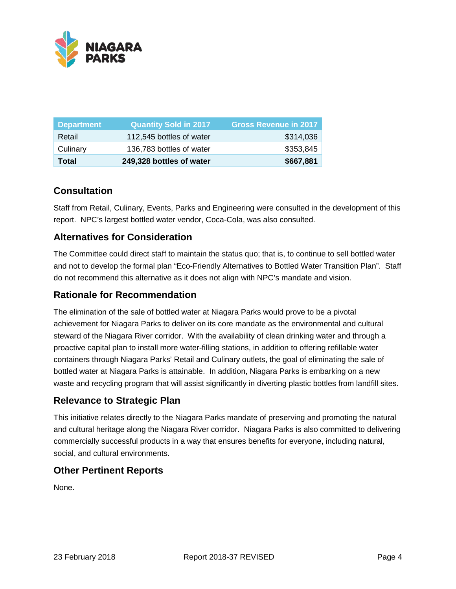

| <b>Department</b> | <b>Quantity Sold in 2017</b> | <b>Gross Revenue in 2017</b> |
|-------------------|------------------------------|------------------------------|
| Retail            | 112,545 bottles of water     | \$314,036                    |
| Culinary          | 136,783 bottles of water     | \$353,845                    |
| Total             | 249,328 bottles of water     | \$667,881                    |

# **Consultation**

Staff from Retail, Culinary, Events, Parks and Engineering were consulted in the development of this report. NPC's largest bottled water vendor, Coca-Cola, was also consulted.

# **Alternatives for Consideration**

The Committee could direct staff to maintain the status quo; that is, to continue to sell bottled water and not to develop the formal plan "Eco-Friendly Alternatives to Bottled Water Transition Plan". Staff do not recommend this alternative as it does not align with NPC's mandate and vision.

## **Rationale for Recommendation**

The elimination of the sale of bottled water at Niagara Parks would prove to be a pivotal achievement for Niagara Parks to deliver on its core mandate as the environmental and cultural steward of the Niagara River corridor. With the availability of clean drinking water and through a proactive capital plan to install more water-filling stations, in addition to offering refillable water containers through Niagara Parks' Retail and Culinary outlets, the goal of eliminating the sale of bottled water at Niagara Parks is attainable. In addition, Niagara Parks is embarking on a new waste and recycling program that will assist significantly in diverting plastic bottles from landfill sites.

## **Relevance to Strategic Plan**

This initiative relates directly to the Niagara Parks mandate of preserving and promoting the natural and cultural heritage along the Niagara River corridor. Niagara Parks is also committed to delivering commercially successful products in a way that ensures benefits for everyone, including natural, social, and cultural environments.

## **Other Pertinent Reports**

None.